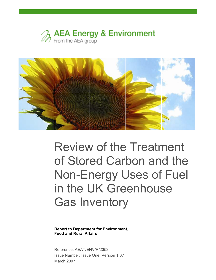



# Review of the Treatment of Stored Carbon and the Non-Energy Uses of Fuel in the UK Greenhouse Gas Inventory

Report to Department for Environment, Food and Rural Affairs

Reference: AEAT/ENV/R/2353 Issue Number: Issue One, Version 1.3.1 March 2007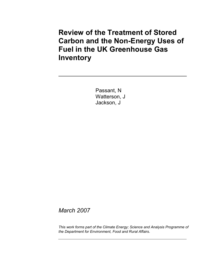## Review of the Treatment of Stored Carbon and the Non-Energy Uses of Fuel in the UK Greenhouse Gas Inventory

Passant, N Watterson, J Jackson, J

March 2007

This work forms part of the Climate Energy; Science and Analysis Programme of the Department for Environment, Food and Rural Affairs.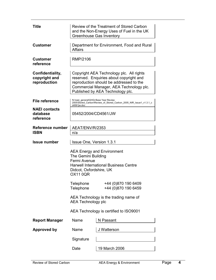| <b>Title</b>                                      | Review of the Treatment of Stored Carbon<br>and the Non-Energy Uses of Fuel in the UK<br><b>Greenhouse Gas Inventory</b>                                                                                      |                                                                     |  |  |  |  |  |
|---------------------------------------------------|---------------------------------------------------------------------------------------------------------------------------------------------------------------------------------------------------------------|---------------------------------------------------------------------|--|--|--|--|--|
| <b>Customer</b>                                   | Affairs                                                                                                                                                                                                       | Department for Environment, Food and Rural                          |  |  |  |  |  |
| <b>Customer</b><br>reference                      | RMP/2106                                                                                                                                                                                                      |                                                                     |  |  |  |  |  |
| Confidentiality,<br>copyright and<br>reproduction | Copyright AEA Technology plc. All rights<br>reserved. Enquiries about copyright and<br>reproduction should be addressed to the<br>Commercial Manager, AEA Technology plc.<br>Published by AEA Technology plc. |                                                                     |  |  |  |  |  |
| <b>File reference</b>                             | N:\naei general\GHGi Base Year Review<br>d4561jw.doc                                                                                                                                                          | 2005\Stored_Carbon\Review_of_Stored_Carbon_2005_NIR_Issue1_v1.3.1_c |  |  |  |  |  |
| <b>NAEI</b> contacts<br>database<br>reference     | 05452/2004/CD4561/JW                                                                                                                                                                                          |                                                                     |  |  |  |  |  |
| Reference number                                  | AEAT/ENV/R/2353                                                                                                                                                                                               |                                                                     |  |  |  |  |  |
| <b>ISBN</b>                                       | n/a                                                                                                                                                                                                           |                                                                     |  |  |  |  |  |
|                                                   |                                                                                                                                                                                                               |                                                                     |  |  |  |  |  |
| <b>Issue number</b>                               | <b>Issue One, Version 1.3.1</b>                                                                                                                                                                               |                                                                     |  |  |  |  |  |
|                                                   | The Gemini Building                                                                                                                                                                                           | <b>AEA Energy and Environment</b>                                   |  |  |  |  |  |
|                                                   | Fermi Avenue<br>Didcot, Oxfordshire, UK<br><b>OX11 0QR</b>                                                                                                                                                    | <b>Harwell International Business Centre</b>                        |  |  |  |  |  |
|                                                   | Telephone<br>Telephone                                                                                                                                                                                        | +44 (0)870 190 6409<br>+44 (0)870 190 6459                          |  |  |  |  |  |
|                                                   | <b>AEA Technology plc</b>                                                                                                                                                                                     | AEA Technology is the trading name of                               |  |  |  |  |  |
|                                                   |                                                                                                                                                                                                               | AEA Technology is certified to ISO9001                              |  |  |  |  |  |
| <b>Report Manager</b>                             | Name                                                                                                                                                                                                          | N Passant                                                           |  |  |  |  |  |
| <b>Approved by</b>                                | Name                                                                                                                                                                                                          | J Watterson                                                         |  |  |  |  |  |
|                                                   | Signature                                                                                                                                                                                                     |                                                                     |  |  |  |  |  |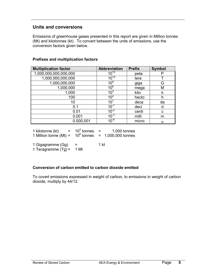#### Units and conversions

Emissions of greenhouse gases presented in this report are given in Million tonnes (Mt) and kilotonnes (kt). To convert between the units of emissions, use the conversion factors given below.

#### Prefixes and multiplication factors

| <b>Multiplication factor</b> | <b>Abbreviation</b> | <b>Prefix</b> | <b>Symbol</b> |
|------------------------------|---------------------|---------------|---------------|
| 1,000,000,000,000,000        | $10^{15}$           | peta          |               |
| 1,000,000,000,000            | $10^{12}$           | tera          |               |
| 1,000,000,000                | 10 <sup>9</sup>     | giga          | G             |
| 1,000,000                    | 10 <sup>6</sup>     | mega          | М             |
| 1,000                        | $10^{3}$            | kilo          | k             |
| 100                          | 10 <sup>2</sup>     | hecto         | h             |
| 10                           | 10                  | deca          | da            |
| 0.1                          | $10^{-1}$           | deci          | d             |
| 0.01                         | $10^{-2}$           | centi         | C             |
| 0.001                        | $10^{-3}$           | milli         | m             |
| 0.000,001                    | $10^{-6}$           | micro         | μ             |

| 1 kilotonne (kt)         | $10^3$ tonnes | 1,000 tonnes     |
|--------------------------|---------------|------------------|
| 1 Million tonne (Mt) $=$ | $10^6$ tonnes | 1,000,000 tonnes |

1 Gigagramme  $(Gg) = 1$  kt 1 Teragramme  $(Tg) = 1$  Mt

#### Conversion of carbon emitted to carbon dioxide emitted

To covert emissions expressed in weight of carbon, to emissions in weight of carbon dioxide, multiply by 44/12.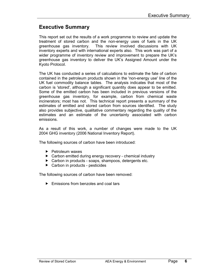## Executive Summary

This report set out the results of a work programme to review and update the treatment of stored carbon and the non-energy uses of fuels in the UK greenhouse gas inventory. This review involved discussions with UK inventory experts and with international experts also. This work was part of a wider programme of inventory review and improvement to prepare the UK's greenhouse gas inventory to deliver the UK's Assigned Amount under the Kyoto Protocol.

The UK has conducted a series of calculations to estimate the fate of carbon contained in the petroleum products shown in the 'non-energy use' line of the UK fuel commodity balance tables. The analysis indicates that most of the carbon is 'stored', although a significant quantity does appear to be emitted. Some of the emitted carbon has been included in previous versions of the greenhouse gas inventory, for example, carbon from chemical waste incinerators; most has not. This technical report presents a summary of the estimates of emitted and stored carbon from sources identified. The study also provides subjective, qualitative commentary regarding the quality of the estimates and an estimate of the uncertainty associated with carbon emissions.

As a result of this work, a number of changes were made to the UK 2004 GHG inventory (2006 National Inventory Report).

The following sources of carbon have been introduced:

- $\blacktriangleright$  Petroleum waxes
- ▶ Carbon emitted during energy recovery chemical industry
- ▶ Carbon in products soaps, shampoos, detergents etc.
- ▶ Carbon in products pesticides

The following sources of carbon have been removed:

 $\blacktriangleright$  Emissions from benzoles and coal tars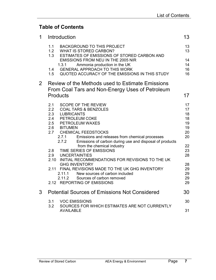## Table of Contents

| 1.1<br><b>BACKGROUND TO THIS PROJECT</b><br>1.2<br><b>WHAT IS STORED CARBON?</b><br>1.3<br>ESTIMATES OF EMISSIONS OF STORED CARBON AND<br>EMISSIONS FROM NEU IN THE 2005 NIR<br>Ammonia production in the UK<br>1.3.1<br><b>GENERAL APPROACH TO THIS WORK</b><br>1.4<br>QUOTED ACCURACY OF THE EMISSIONS IN THIS STUDY<br>1.5 | 13<br>13<br>14<br>14 |
|-------------------------------------------------------------------------------------------------------------------------------------------------------------------------------------------------------------------------------------------------------------------------------------------------------------------------------|----------------------|
|                                                                                                                                                                                                                                                                                                                               |                      |
|                                                                                                                                                                                                                                                                                                                               |                      |
|                                                                                                                                                                                                                                                                                                                               | 16                   |
|                                                                                                                                                                                                                                                                                                                               | 16                   |
| $2^{\circ}$<br>Review of the Methods used to Estimate Emissions<br>From Coal Tars and Non-Energy Uses of Petroleum                                                                                                                                                                                                            |                      |
| <b>Products</b>                                                                                                                                                                                                                                                                                                               | 17                   |
| <b>SCOPE OF THE REVIEW</b><br>2.1                                                                                                                                                                                                                                                                                             | 17                   |
| 2.2<br><b>COAL TARS &amp; BENZOLES</b><br>2.3<br><b>LUBRICANTS</b>                                                                                                                                                                                                                                                            | 17<br>18             |
| 2.4<br>PETROLEUM COKE                                                                                                                                                                                                                                                                                                         | 18                   |
| 2.5<br><b>PETROLEUM WAXES</b>                                                                                                                                                                                                                                                                                                 | 19                   |
| <b>BITUMEN</b><br>2.6                                                                                                                                                                                                                                                                                                         | 19                   |
| 2.7<br><b>CHEMICAL FEEDSTOCKS</b>                                                                                                                                                                                                                                                                                             | 20                   |
| 2.7.1<br>Emissions and releases from chemical processes<br>2.7.2<br>Emissions of carbon during use and disposal of products                                                                                                                                                                                                   | 20                   |
| from the chemical industry                                                                                                                                                                                                                                                                                                    | 22                   |
| TIME SERIES OF EMISSIONS<br>2.8                                                                                                                                                                                                                                                                                               | 23                   |
| 2.9<br><b>UNCERTAINTIES</b>                                                                                                                                                                                                                                                                                                   | 28                   |
| 2.10<br>INITIAL RECOMMENDATIONS FOR REVISIONS TO THE UK                                                                                                                                                                                                                                                                       |                      |
| <b>GHG INVENTORY</b><br>2.11 FINAL REVISIONS MADE TO THE UK GHG INVENTORY                                                                                                                                                                                                                                                     | 28                   |
| New sources of carbon included<br>2.11.1                                                                                                                                                                                                                                                                                      | 29<br>29             |
| Sources of carbon removed<br>2.11.2                                                                                                                                                                                                                                                                                           | 29                   |
| 2.12 REPORTING OF EMISSIONS                                                                                                                                                                                                                                                                                                   | 29                   |
| <b>Potential Sources of Emissions Not Considered</b><br>3                                                                                                                                                                                                                                                                     | 30                   |
| 3.1<br><b>VOC EMISSIONS</b>                                                                                                                                                                                                                                                                                                   | 30                   |
| 3.2<br>SOURCES FOR WHICH ESTIMATES ARE NOT CURRENTLY<br><b>AVAILABLE</b>                                                                                                                                                                                                                                                      | 31                   |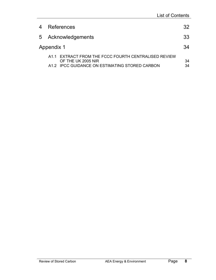| 4 |            | References                                                                 | 32 |
|---|------------|----------------------------------------------------------------------------|----|
|   |            | 5 Acknowledgements                                                         | 33 |
|   | Appendix 1 |                                                                            | 34 |
|   |            | A1.1 EXTRACT FROM THE FCCC FOURTH CENTRALISED REVIEW<br>OF THE UK 2005 NIR | 34 |
|   |            | A1.2 IPCC GUIDANCE ON ESTIMATING STORED CARBON                             | 34 |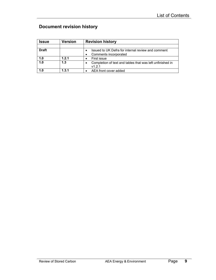## Document revision history

| Issue        | Version | <b>Revision history</b>                                   |
|--------------|---------|-----------------------------------------------------------|
|              |         |                                                           |
| <b>Draft</b> |         | Issued to UK Defra for internal review and comment        |
|              |         | Comments incorporated<br>٠                                |
| 1.0          | 1.2.1   | First issue                                               |
| 1.0          | 1.3     | Completion of text and tables that was left unfinished in |
|              |         | v1.2.1                                                    |
| 1.0          | 1.3.1   | AEA front cover added                                     |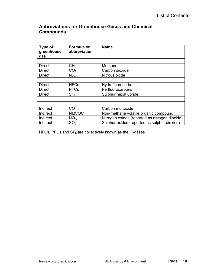### Abbreviations for Greenhouse Gases and Chemical **Compounds**

| Type of<br>greenhouse<br>gas | <b>Formula or</b><br>abbreviation | <b>Name</b>                                    |
|------------------------------|-----------------------------------|------------------------------------------------|
|                              |                                   |                                                |
| <b>Direct</b>                | CH <sub>4</sub>                   | Methane                                        |
| <b>Direct</b>                | CO <sub>2</sub>                   | Carbon dioxide                                 |
| <b>Direct</b>                | N <sub>2</sub> O                  | Nitrous oxide                                  |
|                              |                                   |                                                |
| <b>Direct</b>                | <b>HFCs</b>                       | Hydrofluorocarbons                             |
| <b>Direct</b>                | <b>PFCs</b>                       | Perfluorocarbons                               |
| <b>Direct</b>                | SF <sub>6</sub>                   | Sulphur hexafluoride                           |
|                              |                                   |                                                |
|                              |                                   |                                                |
| Indirect                     | <b>CO</b>                         | Carbon monoxide                                |
| Indirect                     | <b>NMVOC</b>                      | Non-methane volatile organic compound          |
| Indirect                     | NO <sub>x</sub>                   | Nitrogen oxides (reported as nitrogen dioxide) |
| Indirect                     | SO <sub>2</sub>                   | Sulphur oxides (reported as sulphur dioxide)   |

HFCs, PFCs and  $SF_6$  are collectively known as the 'F-gases'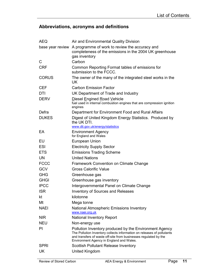## Abbreviations, acronyms and definitions

| <b>AEQ</b>       | Air and Environmental Quality Division                                                                                                                                                                                                           |
|------------------|--------------------------------------------------------------------------------------------------------------------------------------------------------------------------------------------------------------------------------------------------|
| base year review | A programme of work to review the accuracy and<br>completeness of the emissions in the 2004 UK greenhouse<br>gas inventory                                                                                                                       |
| C                | Carbon                                                                                                                                                                                                                                           |
| <b>CRF</b>       | Common Reporting Format tables of emissions for<br>submission to the FCCC.                                                                                                                                                                       |
| <b>CORUS</b>     | The owner of the many of the integrated steel works in the<br>UK.                                                                                                                                                                                |
| <b>CEF</b>       | <b>Carbon Emission Factor</b>                                                                                                                                                                                                                    |
| DTI              | UK Department of Trade and Industry                                                                                                                                                                                                              |
| <b>DERV</b>      | Diesel Engined Road Vehicle<br>fuel used in internal combustion engines that are compression ignition<br>engines                                                                                                                                 |
| Defra            | Department for Environment Food and Rural Affairs                                                                                                                                                                                                |
| <b>DUKES</b>     | Digest of United Kingdom Energy Statistics. Produced by<br>the UK DTI.                                                                                                                                                                           |
| EA               | www.dti.gov.uk/energy/statistics<br><b>Environment Agency</b>                                                                                                                                                                                    |
|                  | for England and Wales                                                                                                                                                                                                                            |
| EU               | <b>European Union</b>                                                                                                                                                                                                                            |
| <b>ESI</b>       | <b>Electricity Supply Sector</b>                                                                                                                                                                                                                 |
| <b>ETS</b>       | <b>Emissions Trading Scheme</b>                                                                                                                                                                                                                  |
| <b>UN</b>        | <b>United Nations</b>                                                                                                                                                                                                                            |
| <b>FCCC</b>      | Framework Convention on Climate Change                                                                                                                                                                                                           |
| <b>GCV</b>       | <b>Gross Calorific Value</b>                                                                                                                                                                                                                     |
| <b>GHG</b>       | Greenhouse gas                                                                                                                                                                                                                                   |
| <b>GHGI</b>      | Greenhouse gas inventory                                                                                                                                                                                                                         |
| <b>IPCC</b>      | Intergovernmental Panel on Climate Change                                                                                                                                                                                                        |
| <b>ISR</b>       | <b>Inventory of Sources and Releases</b>                                                                                                                                                                                                         |
| kt               | kilotonne                                                                                                                                                                                                                                        |
| Mt               | Mega tonne                                                                                                                                                                                                                                       |
| <b>NAEI</b>      | National Atmospheric Emissions Inventory<br>www.naei.org.uk                                                                                                                                                                                      |
| <b>NIR</b>       | <b>National Inventory Report</b>                                                                                                                                                                                                                 |
| <b>NEU</b>       | Non-energy use                                                                                                                                                                                                                                   |
| PI               | Pollution Inventory produced by the Environment Agency<br>The Pollution Inventory collects information on releases of pollutants<br>and transfers of waste off-site from businesses regulated by the<br>Environment Agency in England and Wales. |
| <b>SPRI</b>      | Scottish Pollutant Release Inventory                                                                                                                                                                                                             |
| UK               | United Kingdom                                                                                                                                                                                                                                   |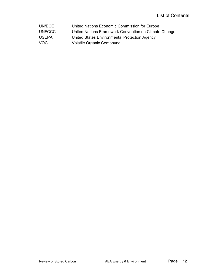| UN/ECE        | United Nations Economic Commission for Europe         |
|---------------|-------------------------------------------------------|
| <b>UNFCCC</b> | United Nations Framework Convention on Climate Change |
| <b>USEPA</b>  | United States Environmental Protection Agency         |
| VOC.          | <b>Volatile Organic Compound</b>                      |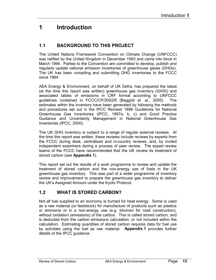## 1 Introduction

## 1.1 BACKGROUND TO THIS PROJECT

The United Nations Framework Convention on Climate Change (UNFCCC) was ratified by the United Kingdom in December 1993 and came into force in March 1994. Parties to the Convention are committed to develop, publish and regularly update national emission inventories of greenhouse gases (GHGs). The UK has been compiling and submitting GHG inventories to the FCCC since 1994.

AEA Energy & Environment, on behalf of UK Defra, has prepared the latest (at the time this report was written) greenhouse gas inventory (GHGI) and associated tables of emissions in CRF format according to UNFCCC guidelines contained in FCCC/CP/2002/8 (Baggott et. al., 2005). The estimates within the inventory have been generated by following the methods and procedures set out in the IPCC Revised 1996 Guidelines for National Greenhouse Gas Inventories (IPCC, 1997a, b, c) and Good Practice Guidance and Uncertainty Management in National Greenhouse Gas Inventories (IPCC, 2000).

The UK GHG inventory is subject to a range of regular external reviews. At the time this report was written, these reviews include reviews by experts from the FCCC during desk, centralised and in-country reviews, and, by invited independent examiners during a process of peer review. The expert review teams of the FCCC have recommended that the UK review its treatment of stored carbon (see Appendix 1).

This report set out the results of a work programme to review and update the treatment of stored carbon and the non-energy use of fuels in the UK greenhouse gas inventory. This was part of a wider programme of inventory review and improvement to prepare the greenhouse gas inventory to deliver the UK's Assigned Amount under the Kyoto Protocol.

### 1.2 WHAT IS STORED CARBON?

Not all fuel supplied to an economy is burned for heat energy. Some is used as a raw material (or feedstock) for manufacture of products such as plastics or ammonia or in a non-energy use (e.g. bitumen for road construction), without oxidation (emissions) of the carbon. This is called stored carbon, and is deducted from the carbon emissions calculation, or not included within the calculation. Estimating quantities of stored carbon requires data for fuel use by activities using the fuel as raw material. Appendix 1 provides further details of the IPCC guidance.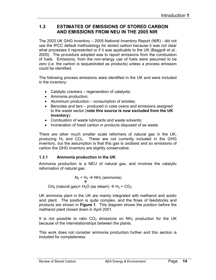#### 1.3 ESTIMATES OF EMISSIONS OF STORED CARBON AND EMISSIONS FROM NEU IN THE 2005 NIR

The 2003 UK GHG inventory – 2005 National Inventory Report (NIR) - did not use the IPCC default methodology for stored carbon because it was not clear what processes it represented or if it was applicable to the UK (Baggott *et al.*, 2005). The procedure adopted was to report emissions from the combustion of fuels. Emissions, from the non-energy use of fuels were assumed to be zero (i.e. the carbon is sequestrated as products) unless a process emission could be identified.

The following process emissions were identified in the UK and were included in the inventory:

- Catalytic crackers regeneration of catalysts;
- Ammonia production;
- Aluminium production consumption of anodes;
- Benzoles and tars produced in coke ovens and emissions assigned to the waste sector (note this source is now excluded from the UK inventory);
- Combustion of waste lubricants and waste solvents;
- Incineration of fossil carbon in products disposed of as waste.

There are other much smaller scale reformers of natural gas in the UK, producing  $H_2$  and  $CO_2$ . These are not currently included in the GHG inventory, but the assumption is that this gas is oxidised and so emissions of carbon the GHG inventory are slightly conservative.

#### 1.3.1 Ammonia production in the UK

Ammonia production is a NEU of natural gas, and involves the catalytic reformation of natural gas:

 $N_2 + H_2 \rightarrow NH_3$  (ammonia)  $\hat{\uparrow}$ CH<sub>4</sub> (natural gas)+ H<sub>2</sub>O (as steam)  $\rightarrow$  H<sub>2</sub> + CO<sub>2</sub>

UK ammonia plant in the UK are mainly integrated with methanol and acetic acid plant. The position is quite complex, and the flows of feedstocks and products are shown in Figure 1. This diagram shows the position before the methanol plant closed down in April 2001.

It is not possible to ratio  $CO<sub>2</sub>$  emissions on NH<sub>3</sub> production for the UK because of the interrelationships between the plants.

This work does not consider ammonia production further and this section is included for completeness.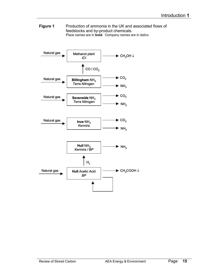Figure 1 Production of ammonia in the UK and associated flows of feedstocks and by-product chemicals. Place names are in **bold**. Company names are in *italics*.

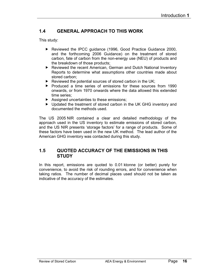### 1.4 GENERAL APPROACH TO THIS WORK

This study:

- ▶ Reviewed the IPCC guidance (1996, Good Practice Guidance 2000, and the forthcoming 2006 Guidance) on the treatment of stored carbon, fate of carbon from the non-energy use (NEU) of products and the breakdown of those products;
- Reviewed the recent American, German and Dutch National Inventory Reports to determine what assumptions other countries made about stored carbon;
- $\blacktriangleright$  Reviewed the potential sources of stored carbon in the UK;
- ▶ Produced a time series of emissions for these sources from 1990 onwards, or from 1970 onwards where the data allowed this extended time series;
- Assigned uncertainties to these emissions;
- ▶ Updated the treatment of stored carbon in the UK GHG inventory and documented the methods used.

The US 2005 NIR contained a clear and detailed methodology of the approach used in the US inventory to estimate emissions of stored carbon, and the US NIR presents 'storage factors' for a range of products. Some of these factors have been used in the new UK method. The lead author of the American GHG inventory was contacted during this study.

#### 1.5 QUOTED ACCURACY OF THE EMISSIONS IN THIS **STUDY**

In this report, emissions are quoted to 0.01 ktonne (or better) purely for convenience, to avoid the risk of rounding errors, and for convenience when taking ratios. The number of decimal places used should not be taken as indicative of the accuracy of the estimates.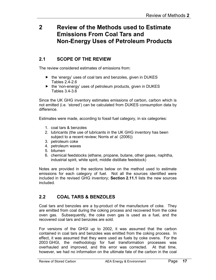## 2 Review of the Methods used to Estimate Emissions From Coal Tars and Non-Energy Uses of Petroleum Products

## 2.1 SCOPE OF THE REVIEW

The review considered estimates of emissions from:

- $\blacktriangleright$  the 'energy' uses of coal tars and benzoles, given in DUKES Tables 2.4-2.6
- $\blacktriangleright$  the 'non-energy' uses of petroleum products, given in DUKES Tables 3.4-3.6

Since the UK GHG inventory estimates emissions of carbon, carbon which is not emitted (i.e. 'stored') can be calculated from DUKES consumption data by difference.

Estimates were made, according to fossil fuel category, in six categories:

- 1. coal tars & benzoles
- 2. lubricants (the use of lubricants in the UK GHG inventory has been subject to a recent review; Norris *et al.* (2006))
- 3. petroleum coke
- 4. petroleum waxes
- 5. bitumen
- 6. chemical feedstocks (ethane, propane, butane, other gases, naphtha, industrial spirit, white spirit, middle distillate feedstock)

Notes are provided in the sections below on the method used to estimate emissions for each category of fuel. Not all the sources identified were included in the revised GHG inventory; Section 2.11.1 lists the new sources included.

## 2.2 COAL TARS & BENZOLES

Coal tars and benzoles are a by-product of the manufacture of coke. They are emitted from coal during the coking process and recovered from the coke oven gas. Subsequently, the coke oven gas is used as a fuel, and the recovered coal tars and benzoles are sold.

For versions of the GHGI up to 2002, it was assumed that the carbon contained in coal tars and benzoles was emitted from the coking process. In effect, it was assumed that they were used as fuels by coke ovens. For the 2003 GHGI, the methodology for fuel transformation processes was overhauled and improved, and this error was corrected. At that time, however, we had no information on the ultimate fate of the carbon in the coal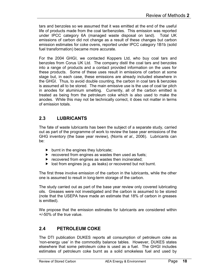tars and benzoles so we assumed that it was emitted at the end of the useful life of products made from the coal tar/benzoles. This emission was reported under IPCC category 6A (managed waste disposal on land). Total UK emissions of carbon did not change as a result of these changes but carbon emission estimates for coke ovens, reported under IPCC category 1B1b (solid fuel transformation) became more accurate.

For the 2004 GHGI, we contacted Koppers Ltd, who buy coal tars and benzoles from Corus UK Ltd. The company distil the coal tars and benzoles into a range of products and a contact provided information on the uses for these products. Some of these uses result in emissions of carbon at some stage but, in each case, these emissions are already included elsewhere in the GHGI. Thus, to avoid double counting, the carbon in coal tars & benzoles is assumed all to be stored. The main emissive use is the use of coal tar pitch in anodes for aluminium smelting. Currently, all of the carbon emitted is treated as being from the petroleum coke which is also used to make the anodes. While this may not be technically correct, it does not matter in terms of emission totals.

## 2.3 LUBRICANTS

The fate of waste lubricants has been the subject of a separate study, carried out as part of the programme of work to review the base year emissions of the GHG inventory (the base year review), (Norris et al., 2006). Lubricants can be:

- $\blacktriangleright$  burnt in the engines they lubricate;
- $\blacktriangleright$  recovered from engines as wastes then used as fuels;
- $\blacktriangleright$  recovered from engines as wastes then incinerated;
- **D** lost from engines (e.g. as leaks) or recovered but not burnt.

The first three involve emission of the carbon in the lubricants, while the other one is assumed to result in long-term storage of the carbon.

The study carried out as part of the base year review only covered lubricating oils. Greases were not investigated and the carbon is assumed to be stored (note that the USEPA have made an estimate that 18% of carbon in greases is emitted).

We propose that the emission estimates for lubricants are considered within +/-50% of the true value.

### 2.4 PETROLEUM COKE

The DTI publication DUKES reports all consumption of petroleum coke as 'non-energy use' in the commodity balance tables. However, DUKES states elsewhere that some petroleum coke is used as a fuel. The GHGI includes estimates of petroleum coke burnt as a solid smokeless fuel and used by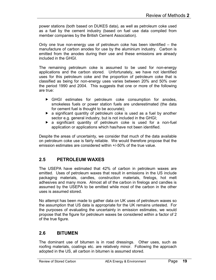power stations (both based on DUKES data), as well as petroleum coke used as a fuel by the cement industry (based on fuel use data compiled from member companies by the British Cement Association).

Only one true non-energy use of petroleum coke has been identified – the manufacture of carbon anodes for use by the aluminium industry. Carbon is emitted from the anodes during their use and these emissions are already included in the GHGI.

The remaining petroleum coke is assumed to be used for non-energy applications and the carbon stored. Unfortunately, we have not identified uses for this petroleum coke and the proportion of petroleum coke that is classified as being for non-energy uses varies between 20% and 50% over the period 1990 and 2004. This suggests that one or more of the following are true:

- GHGI estimates for petroleum coke consumption for anodes, smokeless fuels or power station fuels are underestimated (the data for cement fuel is thought to be accurate);
- a significant quantity of petroleum coke is used as a fuel by another sector e.g. general industry, but is not included in the GHGI;
- a significant quantity of petroleum coke is used for a non-fuel application or applications which has/have not been identified.

Despite the areas of uncertainty, we consider that much of the data available on petroleum coke use is fairly reliable. We would therefore propose that the emission estimates are considered within +/-50% of the true value.

### 2.5 PETROLEUM WAXES

The USEPA have estimated that 42% of carbon in petroleum waxes are emitted. Uses of petroleum waxes that result in emissions in the US include packaging materials, candles, construction materials, firelogs, hot melt adhesives and many more. Almost all of the carbon in firelogs and candles is assumed by the USEPA to be emitted while most of the carbon in the other uses is assumed stored.

No attempt has been made to gather data on UK uses of petroleum waxes so the assumption that US data is appropriate for the UK remains untested. For the purposes of evaluating the uncertainty in emission estimates, we would propose that the figure for petroleum waxes be considered within a factor of 2 of the true figure.

### 2.6 BITUMEN

The dominant use of bitumen is in road dressings. Other uses, such as roofing materials, coatings etc. are relatively minor. Following the approach adopted in the US, all carbon in bitumen is assumed stored.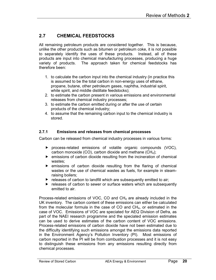## 2.7 CHEMICAL FEEDSTOCKS

All remaining petroleum products are considered together. This is because, unlike the other products such as bitumen or petroleum coke, it is not possible to separately identify the uses of these products. Instead, all of these products are input into chemical manufacturing processes, producing a huge variety of products. The approach taken for chemical feedstocks has therefore been:

- 1. to calculate the carbon input into the chemical industry (in practice this is assumed to be the total carbon in non-energy uses of ethane, propane, butane, other petroleum gases, naphtha, industrial spirit, white spirit, and middle distillate feedstocks);
- 2. to estimate the carbon present in various emissions and environmental releases from chemical industry processes;
- 3. to estimate the carbon emitted during or after the use of certain products of the chemical industry;
- 4. to assume that the remaining carbon input to the chemical industry is stored.

#### 2.7.1 Emissions and releases from chemical processes

Carbon can be released from chemical industry processes in various forms:

- process-related emissions of volatile organic compounds (VOC), carbon monoxide (CO), carbon dioxide and methane  $(CH_4)$ ;
- $\blacktriangleright$  emissions of carbon dioxide resulting from the incineration of chemical wastes;
- $\triangleright$  emissions of carbon dioxide resulting from the flaring of chemical wastes or the use of chemical wastes as fuels, for example in steamraising boilers;
- $\blacktriangleright$  releases of carbon to landfill which are subsequently emitted to air;
- releases of carbon to sewer or surface waters which are subsequently emitted to air.

Process-related emissions of VOC, CO and  $CH<sub>4</sub>$  are already included in the UK inventory. The carbon content of these emissions can either be calculated from the molecular formula in the case of CO and CH4, or estimated in the case of VOC. Emissions of VOC are speciated for AEQ Division of Defra, as part of the NAEI research programme and the speciated emission estimates can be used to derive estimates of the carbon content of VOC emissions. Process-related emissions of carbon dioxide have not been estimated due to the difficulty identifying such emissions amongst the emissions data reported in the Environment Agency's Pollution Inventory (PI). Most emissions of carbon reported in the PI will be from combustion processes and it is not easy to distinguish these emissions from any emissions resulting directly from chemical processes.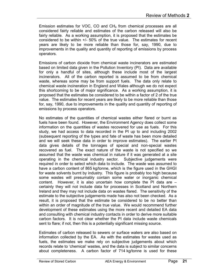Emission estimates for VOC, CO and CH4 from chemical processes are all considered fairly reliable and estimates of the carbon released will also be fairly reliable. As a working assumption, it is proposed that the estimates be considered to be within +/- 50% of the true value. The estimates for recent years are likely to be more reliable than those for, say, 1990, due to improvements in the quality and quantity of reporting of emissions by process operators.

Emissions of carbon dioxide from chemical waste incinerators are estimated based on limited data given in the Pollution Inventory (PI). Data are available for only a handful of sites, although these include most of the largest incinerators. All of the carbon reported is assumed to be from chemical waste, whereas some may be from support fuels. The data only relate to chemical waste incineration in England and Wales although we do not expect this shortcoming to be of major significance. As a working assumption, it is proposed that the estimates be considered to be within a factor of 2 of the true value. The estimates for recent years are likely to be more reliable than those for, say, 1990, due to improvements in the quality and quantity of reporting of emissions by process operators.

No estimates of the quantities of chemical wastes either flared or burnt as fuels have been found. However, the Environment Agency does collect some information on the quantities of wastes recovered for use as fuels. For this study, we had access to data recorded in the PI up to and including 2002 (subsequent reporting of the types and fate of waste has been more detailed and we will seek these data in order to improve estimates). The earlier PI data gives details of the tonnages of special and non-special wastes recovered as fuel. The exact nature of the waste is not specified so we assumed that the waste was chemical in nature if it was generated at a site operating in the chemical industry sector. Subjective judgements were required in order to select which data to include. The waste was assumed to have a carbon content of 865 kg/tonne, which is the figure used in the GHGI for waste solvents burnt by industry. This figure is probably too high because some wastes will presumably contain some water or inorganic chemical content. However, it is also uncertain how complete the PI data are – certainly they will not include data for processes in Scotland and Northern Ireland and they may not include data on wastes flared. The sensitivity of the estimate to the subjective judgements made has also not been checked. As a result, it is proposed that the estimate be considered to be no better than within an order of magnitude of the true value. We would recommend further development of these estimates using the more recent and detailed EA data and consulting with chemical industry contacts in order to derive more suitable carbon factors. It is not clear whether the PI data include waste chemicals sent to flare; if not, then this is a potentially significant missing source.

Estimates of carbon released to sewers or surface waters are also based on information collected by the EA. As with the estimates for wastes used as fuels, the estimates we make rely on subjective judgements about which records relate to 'chemical' wastes, and the data is subject to similar concerns about completeness. A carbon factor of 714 kg/tonne is used for these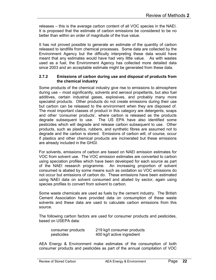releases – this is the average carbon content of all VOC species in the NAEI. It is proposed that the estimate of carbon emissions be considered to be no better than within an order of magnitude of the true value.

It has not proved possible to generate an estimate of the quantity of carbon released to landfills from chemical processes. Some data are collected by the Environment Agency but the difficulty interpreting these data would have meant that any estimates would have had very little value. As with wastes used as a fuel, the Environment Agency has collected more detailed data since 2003 and an acceptable estimate might be generated from these data.

#### 2.7.2 Emissions of carbon during use and disposal of products from the chemical industry

Some products of the chemical industry give rise to emissions to atmosphere during use – most significantly, solvents and aerosol propellants, but also fuel additives, certain industrial gases, explosives, and probably many more specialist products. Other products do not create emissions during their use but carbon can be released to the environment when they are disposed of. The most important classes of product in this category are detergents, soaps and other 'consumer products', where carbon is released as the products degrade subsequent to use. The US EPA have also identified some pesticides which will degrade and release carbon subsequent to use. Other products, such as plastics, rubbers, and synthetic fibres are assumed not to degrade and the carbon is stored. Emissions of carbon will, of course, occur if plastics and other chemical products are incinerated but these emissions are already included in the GHGI.

For solvents, emissions of carbon are based on NAEI emission estimates for VOC from solvent use. The VOC emission estimates are converted to carbon using speciation profiles which have been developed for each source as part of the NAEI research programme. An increasing proportion of solvent consumed is abated by some means such as oxidation so VOC emissions do not occur but emissions of carbon do. These emissions have been estimated using NAEI data on solvent consumed and abated by sector, again using species profiles to convert from solvent to carbon.

Some waste chemicals are used as fuels by the cement industry. The British Cement Association have provided data on consumption of these waste solvents and these data are used to calculate carbon emissions from this source.

The following carbon factors are used for consumer products and pesticides, based on USEPA data:

| consumer products | 219 kg/t consumer products |
|-------------------|----------------------------|
| pesticides        | 400 kg/t active ingredient |

AEA Energy & Environment make estimates of the consumption of both consumer products and pesticides as part of the annual compilation of VOC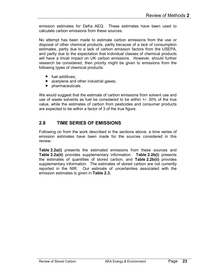emission estimates for Defra AEQ. These estimates have been used to calculate carbon emissions from these sources.

No attempt has been made to estimate carbon emissions from the use or disposal of other chemical products, partly because of a lack of consumption estimates, partly due to a lack of carbon emission factors from the USEPA, and partly due to the expectation that individual classes of chemical products will have a trivial impact on UK carbon emissions. However, should further research be considered, then priority might be given to emissions from the following types of chemical products:

- $\blacktriangleright$  fuel additives;
- **EX acetylene and other industrial gases;**
- $\blacktriangleright$  pharmaceuticals.

We would suggest that the estimate of carbon emissions from solvent use and use of waste solvents as fuel be considered to be within +/- 30% of the true value, while the estimates of carbon from pesticides and consumer products are expected to be within a factor of 3 of the true figure.

### 2.8 TIME SERIES OF EMISSIONS

Following on from the work described in the sections above, a time series of emission estimates have been made for the sources considered in this review.

Table 2.2a(i) presents the estimated emissions from these sources and Table 2.2a(ii) provides supplementary information. Table 2.2b(i) presents the estimates of quantities of stored carbon, and Table 2.2b(ii) provides supplementary information. The estimates of stored carbon are not currently reported in the NIR. Our estimate of uncertainties associated with the emission estimates is given in Table 2.3.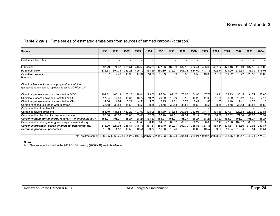| <b>Source</b>                                                                                                                                                            | 1990   | 1991   | 1992   | 1993   | 1994   | 1995   | 1996   | 1997   | 1998   | 1999   | 2000   | 2001   | 2002   | 2003   | 2004   |
|--------------------------------------------------------------------------------------------------------------------------------------------------------------------------|--------|--------|--------|--------|--------|--------|--------|--------|--------|--------|--------|--------|--------|--------|--------|
|                                                                                                                                                                          |        |        |        |        |        |        |        |        |        |        |        |        |        |        |        |
| Coal tars & benzoles                                                                                                                                                     |        |        |        |        |        |        |        | ۰      |        |        |        |        |        |        |        |
|                                                                                                                                                                          |        |        |        |        |        |        |        |        |        |        |        |        |        |        |        |
| Lubricants                                                                                                                                                               | 397.29 | 374.38 | 395.51 | 413.58 | 415.83 | 477.03 | 469.09 | 482.10 | 432.4' | 403.60 | 407.92 | 429.46 | 419.49 | 437.82 | 458.05 |
| Petroleum coke                                                                                                                                                           | 376.38 | 394.73 | 389.28 | 405.79 | 433.59 | 450.89 | 575.97 | 606.38 | 634.60 | 447.75 | 502.44 | 439.90 | 532.34 | 486.09 | 576.01 |
| <b>Petroleum waxes</b>                                                                                                                                                   | 19.87  | 17.70  | 16.98  | 17.34  | 16.98  | 15.89  | 15.89  | 15.89  | 6.50   | 13.36  | 11.56  | 11.92  | 18.42  | 20.59  | 18.06  |
| <b>Bitumen</b>                                                                                                                                                           |        |        |        |        |        |        |        |        |        |        |        |        |        |        |        |
|                                                                                                                                                                          |        |        |        |        |        |        |        |        |        |        |        |        |        |        |        |
| Chemical feedstocks (ethane/propane/butane/other<br>gases/naphtha/industrial spirit/white spirit/MDF/fuel oil):                                                          |        |        |        |        |        |        |        |        |        |        |        |        |        |        |        |
|                                                                                                                                                                          |        |        |        |        |        |        |        |        |        |        |        |        |        |        |        |
| Chemical process emissions - emitted as VOC                                                                                                                              | 109.81 | 103.19 | 102.28 | 98.44  | 93.00  | 95.08  | 87.47  | 78.05  | 64.90  | 47.72  | 43.91  | 38.23  | 35.45  | 34.74  | 35.80  |
| Chemical process emissions - emitted as CO                                                                                                                               | 17.34  | 17.83  | 18.37  | 18.77  | 19.71  | 20.69  | 19.59  | 18.18  | 14.28  | 11.03  | 11.65  | 8.39   | 10.12  | 11.00  | 7.17   |
| Chemical process emissions - emitted as CH <sub>4</sub>                                                                                                                  | 4.86   | 4.84   | 5.29   | 4.51   | 5.52   | 3.95   | 4.81   | 3.78   | 2.41   | 1.83   | 1.65   | 1.40   | 1.41   | 1.23   | 1.18   |
| Carbon released to surface waters/sewer                                                                                                                                  | 38.58  | 38.58  | 38.58  | 38.58  | 38.58  | 38.58  | 38.58  | 38.58  | 38.58  | 38.58  | 38.58  | 38.58  | 38.58  | 38.58  | 38.58  |
| Carbon emitted from landfill                                                                                                                                             |        |        |        |        |        |        |        |        |        |        |        |        |        |        |        |
| Carbon in solvent emissions                                                                                                                                              | 456.49 | 431.54 | 410.22 | 407.09 | 408.05 | 381.80 | 373.58 | 369.93 | 362.96 | 344.7' | 334.46 | 327.87 | 322.88 | 320.65 | 320.85 |
| Carbon emitted by chemical waste incineration                                                                                                                            | 83.08  | 83.08  | 83.08  | 83.08  | 82.89  | 82.70  | 82.51  | 82.31  | 82.12  | 67.93  | 68.02  | 75.62  | 71.84  | 66.08  | 63.92  |
| Carbon emitted during energy recovery - chemical industry                                                                                                                | 158.27 | 158.27 | 158.27 | 158.27 | 158.27 | 158.27 | 158.27 | 158.27 | 158.27 | 158.27 | 158.27 | 158.27 | 158.27 | 158.27 | 158.27 |
| Carbon emitted during energy recovery - cement industry                                                                                                                  |        |        |        | 11.46  | 36.49  | 64.87  | 65.32  | 65.77  | 66.22  | 66.66  | 67.11  | 77.06  | 102.57 | 80.17  | 99.11  |
| Carbon in products - soaps, shampoos, detergents etc.                                                                                                                    | 314.00 | 324.93 | 335.84 | 346.73 | 357.61 | 359.40 | 360.91 | 362.79 | 365.86 | 367.18 | 368.54 | 371.51 | 376.56 | 379.96 | 383.87 |
| Carbon in products - pesticides                                                                                                                                          | 10.69  | 11.18  | 10.59  | 10.54  | 9.77   | 10.08  | 10.26  | 9.78   | 10.09  | 10.57  | 9.56   | 10.54  | 10.54  | 10.54  | 10.54  |
|                                                                                                                                                                          |        |        |        |        |        |        |        |        |        |        |        |        |        |        |        |
| 71,12,171.42 Total emitted carbon 1,986.65 1,960.25 1,964.27 2,014.17 2,076.27 2,159.23 2,262.24 2,291.81 2,239.21 1,979.20 2,023.66 1,988.75 2,098.47 2,045.71 2,171.42 |        |        |        |        |        |        |        |        |        |        |        |        |        |        |        |

#### Table 2.2a(i) Time series of estimated emissions from sources of emitted carbon (kt carbon)

#### Notes

New sources included in the 2005 GHG inventory (2006 NIR) are in **bold italic**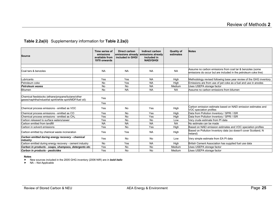#### Table 2.2a(ii) Supplementary information for Table 2.2a(i)

| <b>Source</b>                                                                                                   | Time series of<br>emissions<br>available from<br>1970 onwards | Direct carbon<br>included in GHGI | Indirect carbon<br>emissions already emissions already<br>included in<br><b>NAEI/GHGI</b> | <b>Quality of</b><br>estimates | <b>Notes</b>                                                                                                                 |
|-----------------------------------------------------------------------------------------------------------------|---------------------------------------------------------------|-----------------------------------|-------------------------------------------------------------------------------------------|--------------------------------|------------------------------------------------------------------------------------------------------------------------------|
|                                                                                                                 |                                                               |                                   |                                                                                           |                                |                                                                                                                              |
| Coal tars & benzoles                                                                                            | <b>NA</b>                                                     | <b>NA</b>                         | <b>NA</b>                                                                                 | <b>NA</b>                      | Assume no carbon emissions from coal tar & benzoles (some<br>emissions do occur but are included in the petroleum coke line) |
|                                                                                                                 |                                                               |                                   |                                                                                           |                                |                                                                                                                              |
| Lubricants                                                                                                      | Yes                                                           | Yes                               | <b>NA</b>                                                                                 | High                           | Methodology revised following base year review of the GHG inventory                                                          |
| Petroleum coke                                                                                                  | <b>No</b>                                                     | Yes                               | <b>NA</b>                                                                                 | High                           | Emissions are from use of pet coke as a fuel and use in anodes                                                               |
| Petroleum waxes                                                                                                 | <b>No</b>                                                     | <b>No</b>                         | <b>NA</b>                                                                                 | Medium                         | Uses USEPA storage factor                                                                                                    |
| <b>Bitumen</b>                                                                                                  | No                                                            | <b>NA</b>                         | <b>NA</b>                                                                                 | <b>NA</b>                      | Assume no carbon emissions from bitumen                                                                                      |
|                                                                                                                 |                                                               |                                   |                                                                                           |                                |                                                                                                                              |
| Chemical feedstocks (ethane/propane/butane/other<br>gases/naphtha/industrial spirit/white spirit/MDF/fuel oil): | Yes                                                           |                                   |                                                                                           |                                |                                                                                                                              |
|                                                                                                                 | Yes                                                           |                                   |                                                                                           |                                |                                                                                                                              |
| Chemical process emissions - emitted as VOC                                                                     | Yes                                                           | <b>No</b>                         | Yes                                                                                       | High                           | Carbon emission estimate based on NAEI emission estimates and<br>VOC speciation profiles                                     |
| Chemical process emissions - emitted as CO                                                                      | Yes                                                           | <b>No</b>                         | Yes                                                                                       | High                           | Data from Pollution Inventory / SPRI / ISR                                                                                   |
| Chemical process emissions - emitted as CH <sub>4</sub>                                                         | Yes                                                           | No                                | Yes                                                                                       | High                           | Data from Pollution Inventory / SPRI / ISR                                                                                   |
| Carbon released to surface waters/sewer                                                                         | Yes                                                           | <b>No</b>                         | <b>No</b>                                                                                 | Low                            | Very crude estimate from PI data                                                                                             |
| Carbon emitted from landfill                                                                                    | <b>NA</b>                                                     | <b>NA</b>                         | <b>NA</b>                                                                                 | <b>NA</b>                      | No estimate can be made                                                                                                      |
| Carbon in solvent emissions                                                                                     | Yes                                                           | <b>No</b>                         | Yes                                                                                       | High                           | Based on NAEI emission estimates and VOC speciation profiles                                                                 |
| Carbon emitted by chemical waste incineration                                                                   | Yes                                                           | Yes                               | <b>NA</b>                                                                                 | High                           | Based on Pollution Inventory data (so doesn't cover Scotland, N<br>Ireland)                                                  |
| Carbon emitted during energy recovery - chemical<br>industry                                                    | Yes                                                           | <b>No</b>                         | No                                                                                        | Low                            | Very simple estimate from EA PI data                                                                                         |
| Carbon emitted during energy recovery - cement industry                                                         | <b>No</b>                                                     | Yes                               | <b>NA</b>                                                                                 | High                           | British Cement Association has supplied fuel use data                                                                        |
| Carbon in products - soaps, shampoos, detergents etc.                                                           | Yes                                                           | <b>No</b>                         | <b>No</b>                                                                                 | Medium                         | Uses USEPA storage factor                                                                                                    |
| Carbon in products - pesticides                                                                                 | Yes                                                           | No                                | No                                                                                        | Medium                         | Uses USEPA storage factor                                                                                                    |

#### Notes

► New sources included in the 2005 GHG inventory (2006 NIR) are in **bold italic**<br>► NA – Not Applicable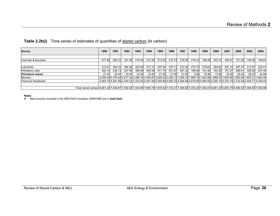#### Table 2.2b(i) Time series of estimates of quantities of stored carbon (kt carbon)

| <b>Source</b>                                                                                                                                              | 1990   | 1991   | 1992   | 1993   | 1994   | 1995   | 1996   | 1997                                                                                                                                   | 1998   | 1999   | 2000   | 2001   | 2002   | 2003   | 2004   |
|------------------------------------------------------------------------------------------------------------------------------------------------------------|--------|--------|--------|--------|--------|--------|--------|----------------------------------------------------------------------------------------------------------------------------------------|--------|--------|--------|--------|--------|--------|--------|
|                                                                                                                                                            |        |        |        |        |        |        |        |                                                                                                                                        |        |        |        |        |        |        |        |
| Coal tars & benzoles                                                                                                                                       | 277.85 | 254.33 | 231.59 | 219.30 | 213.45 | 213.02 | 215.74 | 218.55                                                                                                                                 | 216.43 | 199.48 | 203.74 | 180.07 | 151.63 | 150.95 | 146.61 |
|                                                                                                                                                            |        |        |        |        |        |        |        |                                                                                                                                        |        |        |        |        |        |        |        |
| Lubricants                                                                                                                                                 | 313.61 | 282.03 | 284.26 | 283.48 | 271.72 | 297.00 | 278.13 | 272.04                                                                                                                                 | 270.70 | 279.63 | 284.82 | 302.19 | 297.47 | 312.87 | 332.41 |
| Petroleum coke                                                                                                                                             | 302.14 | 238.13 | 237.99 | 308.46 | 400.59 | 471.74 | 531.87 | 391.22                                                                                                                                 | 166.68 | 141.40 | 193.28 | 191.27 | 269.01 | 305.65 | 457.40 |
| <b>Petroleum waxes</b>                                                                                                                                     | 27.43  | 24.44  | 23.44  | 23.94  | 23.44  | 21.95  | 21.95  | 21.95                                                                                                                                  | 8.98   | 18.46  | 15.96  | 16.46  | 25.44  | 28.43  | 24.94  |
| <b>Bitumen</b>                                                                                                                                             |        |        |        |        |        |        |        | 2,356.49 2,378.24 2,417.03 2,386.76 2,454.87 2,289.32 2,030.12 1,906.19 1,860.78 1,823.89 1,868.35 1,829.56 1,893.89 1,853.21 1,883.49 |        |        |        |        |        |        |        |
| Chemical feedstocks                                                                                                                                        |        |        |        |        |        |        |        | 3,583.70 4,261.69 4,340.23 4,322.85 4,491.69 4,585.89 4,665.50 4,584.69 4,679.68 4,999.95 4,295.10 3,333.19 3,732.08 4,409.77 4.249.03 |        |        |        |        |        |        |        |
|                                                                                                                                                            |        |        |        |        |        |        |        |                                                                                                                                        |        |        |        |        |        |        |        |
| Total stored carbon 6.861.22 7.438.87 7.534.54 7.544.80 7.855.76 7.878.92 7.743.31 7.394.65 7.203.25 7.462.81 6.861.25 5.852.75 6.369.52 7.060.89 7.093.89 |        |        |        |        |        |        |        |                                                                                                                                        |        |        |        |        |        |        |        |

Notes

New sources included in the 2005 GHG inventory (2006 NIR) are in **bold italic**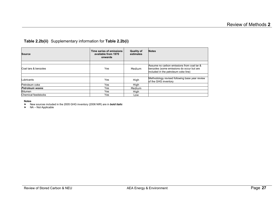#### Table 2.2b(ii) Supplementary information for Table 2.2b(i)

| <b>Source</b>              | Time series of emissions<br>available from 1970<br>onwards | <b>Quality of</b><br>estimates | <b>Notes</b>                                                                      |
|----------------------------|------------------------------------------------------------|--------------------------------|-----------------------------------------------------------------------------------|
|                            |                                                            |                                | Assume no carbon emissions from coal tar &                                        |
| Coal tars & benzoles       | Yes                                                        | Medium                         | benzoles (some emissions do occur but are<br>included in the petroleum coke line) |
|                            |                                                            |                                |                                                                                   |
| ubricants                  | Yes                                                        | High                           | Methodology revised following base year review<br>of the GHG inventory            |
| Petroleum coke             | Yes                                                        | High                           |                                                                                   |
| <b>Petroleum waxes</b>     | <b>Yes</b>                                                 | Medium                         |                                                                                   |
| <b>Bitumen</b>             | Yes                                                        | High                           |                                                                                   |
| <b>Chemical feedstocks</b> | Yes                                                        | Low                            |                                                                                   |

#### Notes

► New sources included in the 2005 GHG inventory (2006 NIR) are in **bold italic**<br>► NA – Not Applicable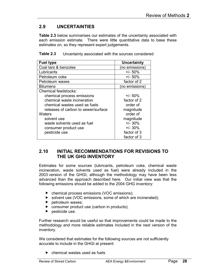## 2.9 UNCERTAINTIES

Table 2.3 below summarises our estimates of the uncertainty associated with each emission estimate. There were little quantitative data to base these estimates on, so they represent expert judgements.

| <b>Fuel type</b>                    | Uncertainty    |  |  |  |
|-------------------------------------|----------------|--|--|--|
| Coal tars & benzoles                | (no emissions) |  |  |  |
| Lubricants                          | $+/- 50\%$     |  |  |  |
| Petroleum coke                      | $+/- 50%$      |  |  |  |
| Petroleum waxes                     | factor of 2    |  |  |  |
| <b>Bitumens</b>                     | (no emissions) |  |  |  |
| <b>Chemical feedstocks:</b>         |                |  |  |  |
| chemical process emissions          | $+/- 50\%$     |  |  |  |
| chemical waste incineration         | factor of 2    |  |  |  |
| chemical wastes used as fuels       | order of       |  |  |  |
| releases of carbon to sewer/surface | magnitude      |  |  |  |
| Waters                              | order of       |  |  |  |
| solvent use                         | magnitude      |  |  |  |
| waste solvents used as fuel         | $+/- 30\%$     |  |  |  |
| consumer product use                | $+/- 30%$      |  |  |  |
| pesticide use                       | factor of 3    |  |  |  |
|                                     | factor of 3    |  |  |  |

Table 2.3 Uncertainty associated with the sources considered

#### 2.10 INITIAL RECOMMENDATIONS FOR REVISIONS TO THE UK GHG INVENTORY

Estimates for some sources (lubricants, petroleum coke, chemical waste incineration, waste solvents used as fuel) were already included in the 2003 version of the GHGI, although the methodology may have been less advanced than the approach described here. Our initial view was that the following emissions should be added to the 2004 GHG inventory:

- ▶ chemical process emissions (VOC emissions);
- ▶ solvent use (VOC emissions, some of which are incinerated);
- $\blacktriangleright$  petroleum waxes;
- **D** consumer product use (carbon in products);
- $\blacktriangleright$  pesticide use.

Further research would be useful so that improvements could be made to the methodology and more reliable estimates included in the next version of the inventory.

We considered that estimates for the following sources are not sufficiently accurate to include in the GHGI at present:

 $\blacktriangleright$  chemical wastes used as fuels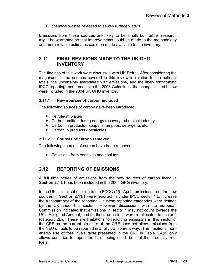$\triangleright$  chemical wastes released to sewer/surface waters

Emissions from these sources are likely to be small, but further research might be warranted so that improvements could be made to the methodology and more reliable estimates could be made available to the inventory.

#### 2.11 FINAL REVISIONS MADE TO THE UK GHG **INVENTORY**

The findings of this work were discussed with UK Defra. After considering the magnitude of the sources covered in this review in relation to the national totals, the uncertainty associated with emissions, and the likely forthcoming IPCC reporting requirements in the 2006 Guidelines, the changes listed below were included in the 2004 UK GHG inventory.

#### 2.11.1 New sources of carbon included

The following sources of carbon have been introduced:

- $\blacktriangleright$  Petroleum waxes
- ▶ Carbon emitted during energy recovery chemical industry
- ▶ Carbon in products soaps, shampoos, detergents etc.
- ▶ Carbon in products pesticides

#### 2.11.2 Sources of carbon removed

The following sources of carbon have been removed:

**Emissions from benzoles and coal tars** 

### 2.12 REPORTING OF EMISSIONS

A full time series of emissions from the new sources of carbon listed in Section 2.11.1 has been included in the 2004 GHG inventory.

In the UK's initial submission to the FCCC  $(15<sup>th</sup>$  April), emissions from the new sources in Section 2.11.1 were reported in under IPCC sector 7 to increase the transparency of the reporting – custom reporting categories were defined by the UK under this sector. However, discussions with the European Commission indicated that emissions in sector 7 may not count towards the UK's Assigned Amount, and so these emissions were re-allocated to sector 2 (category 2B). There are limitations to reporting emissions in this sector of the CRF as the current structure of the CRF does not allow emissions from the NEU of fuels to be reported in a fully transparent way. The traditional nonenergy use of fossil fuels table presented in the CRF in Table 1.A(d) only allows countries to report the fuels being used, but not the products from fuels.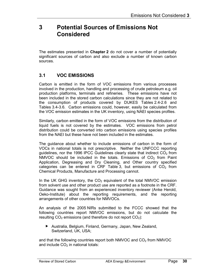## 3 Potential Sources of Emissions Not Considered

The estimates presented in **Chapter 2** do not cover a number of potentially significant sources of carbon and also exclude a number of known carbon sources.

### 3.1 VOC EMISSIONS

Carbon is emitted in the form of VOC emissions from various processes involved in the production, handling and processing of crude petroleum e.g. oil production platforms, terminals and refineries. These emissions have not been included in the stored carbon calculations since they are not related to the consumption of products covered by DUKES Tables 2.4-2.6 and Tables 3.4-3.6. Carbon emissions could, however, easily be calculated from the VOC emission estimates in the UK inventory, using NAEI species profiles.

Similarly, carbon emitted in the form of VOC emissions from the distribution of liquid fuels is not covered by the estimates. VOC emissions from petrol distribution could be converted into carbon emissions using species profiles from the NAEI but these have not been included in the estimates.

The guidance about whether to include emissions of carbon in the form of VOCs in national totals is not prescriptive. Neither the UNFCCC reporting guidelines, nor the 1996 IPCC Guidelines clearly state that indirect  $CO<sub>2</sub>$  from NMVOC should be included in the totals. Emissions of  $CO<sub>2</sub>$  from Paint Application, Degreasing and Dry Cleaning, and Other country specified categories can be entered in CRF Table 3, but emissions of  $CO<sub>2</sub>$  from Chemical Products, Manufacture and Processing cannot.

In the UK GHG inventory, the  $CO<sub>2</sub>$  equivalent of the total NMVOC emission from solvent use and other product use are reported as a footnote in the CRF. Guidance was sought from an experienced inventory reviewer (Anke Herold, Oeko-Institute) about the reporting requirements, and the reporting arrangements of other countries for NMVOCs.

An analysis of the 2005 NIRs submitted to the FCCC showed that the following countries report NMVOC emissions, but do not calculate the resulting  $CO<sub>2</sub>$  emissions (and therefore do not report  $CO<sub>2</sub>$ ):

 Australia, Belgium, Finland, Germany, Japan, New Zealand, Switzerland, UK, USA;

and that the following countries report both NMVOC and  $CO<sub>2</sub>$  from NMVOC and include  $CO<sub>2</sub>$  in national totals: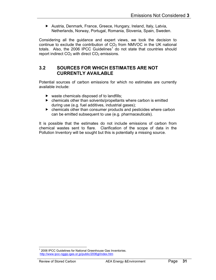Austria, Denmark, France, Greece, Hungary, Ireland, Italy, Latvia, Netherlands, Norway, Portugal, Romania, Slovenia, Spain, Sweden.

Considering all the guidance and expert views, we took the decision to continue to exclude the contribution of  $CO<sub>2</sub>$  from NMVOC in the UK national totals. Also, the 2006 IPCC Guidelines<sup>1</sup> do not state that countries should report indirect  $CO<sub>2</sub>$  with direct  $CO<sub>2</sub>$  emissions.

#### 3.2 SOURCES FOR WHICH ESTIMATES ARE NOT CURRENTLY AVAILABLE

Potential sources of carbon emissions for which no estimates are currently available include:

- $\triangleright$  waste chemicals disposed of to landfills:
- chemicals other than solvents/propellants where carbon is emitted during use (e.g. fuel additives, industrial gases);
- chemicals other than consumer products and pesticides where carbon can be emitted subsequent to use (e.g. pharmaceuticals).

It is possible that the estimates do not include emissions of carbon from chemical wastes sent to flare. Clarification of the scope of data in the Pollution Inventory will be sought but this is potentially a missing source.

l

<sup>&</sup>lt;sup>1</sup> 2006 IPCC Guidelines for National Greenhouse Gas Inventories. http://www.ipcc-nggip.iges.or.jp/public/2006gl/index.htm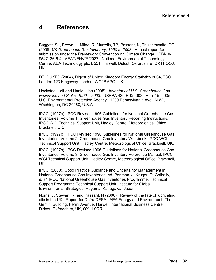## 4 References

Baggott, SL, Brown, L, Milne, R, Murrells, TP, Passant, N, Thistlethwaite, DG (2005) UK Greenhouse Gas Inventory, 1990 to 2003. Annual report for submission under the Framework Convention on Climate Change. ISBN 0- 9547136-6-4. AEAT/ENV/R/2037. National Environmental Technology Centre, AEA Technology plc, B551, Harwell, Didcot, Oxfordshire, OX11 OQJ, UK.

DTI DUKES (2004), Digest of United Kingdom Energy Statistics 2004, TSO, London 123 Kingsway London, WC2B 6PQ, UK.

Hockstad, Leif and Hanle, Lisa (2005). Inventory of U.S. Greenhouse Gas Emissions and Sinks: 1990 – 2003. USEPA 430-R-05-003. April 15, 2005. U.S. Environmental Protection Agency. 1200 Pennsylvania Ave., N.W., Washington, DC 20460, U.S.A.

IPCC, (1997a), IPCC Revised 1996 Guidelines for National Greenhouse Gas Inventories, Volume 1, Greenhouse Gas Inventory Reporting Instructions, IPCC WGI Technical Support Unit, Hadley Centre, Meteorological Office, Bracknell, UK.

IPCC, (1997b), IPCC Revised 1996 Guidelines for National Greenhouse Gas Inventories, Volume 2, Greenhouse Gas Inventory Workbook, IPCC WGI Technical Support Unit, Hadley Centre, Meteorological Office, Bracknell, UK.

IPCC, (1997c), IPCC Revised 1996 Guidelines for National Greenhouse Gas Inventories, Volume 3, Greenhouse Gas Inventory Reference Manual, IPCC WGI Technical Support Unit, Hadley Centre, Meteorological Office, Bracknell, UK.

IPCC, (2000), Good Practice Guidance and Uncertainty Management in National Greenhouse Gas Inventories, ed. Penman, J, Kruger, D, Galbally, I, et al, IPCC National Greenhouse Gas Inventories Programme, Technical Support Programme Technical Support Unit, Institute for Global Environmental Strategies, Hayama, Kanagawa, Japan.

Norris, J, Stewart, R, and Passant, N (2006). Review of the fate of lubricating oils in the UK. Report for Defra CESA. AEA Energy and Environment, The Gemini Building, Fermi Avenue, Harwell International Business Centre, Didcot, Oxfordshire, UK, OX11 0QR.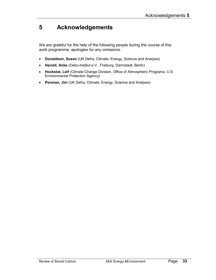## 5 Acknowledgements

We are grateful for the help of the following people during the course of this work programme; apologies for any omissions.

- Donaldson, Susan (UK Defra, Climate, Energy, Science and Analysis)
- Herold, Anke (Oeko-Institut e.V., Freiburg, Darmstadt, Berlin)
- Hockstat, Leif (Climate Change Division, Office of Atmospheric Programs, U.S. Environmental Protection Agency)
- Penman, Jim (UK Defra, Climate, Energy, Science and Analysis)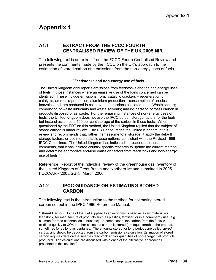## Appendix 1

#### A1.1 EXTRACT FROM THE FCCC FOURTH CENTRALISED REVIEW OF THE UK 2005 NIR

The following text is an extract from the FCCC Fourth Centralised Review and presents the comments made by the FCCC on the UK's approach to the estimation of stored carbon and emissions from the non-energy uses of fuels.

#### "Feedstocks and non-energy use of fuels

The United Kingdom only reports emissions from feedstocks and the non-energy uses of fuels in those instances where an emissive use of the fuels concerned can be identified. These include emissions from: catalytic crackers – regeneration of catalysts; ammonia production; aluminium production – consumption of anodes; benzoles and tars produced in coke ovens (emissions allocated to the Waste sector); combustion of waste lubricants and waste solvents; and incineration of fossil carbon in products disposed of as waste. For the remaining instances of non-energy uses of fuels, the United Kingdom does not use the IPCC default storage factors for the fuels, but instead assumes a 100 per cent storage of the carbon in those fuels. When questioned by the ERT on this method, the United Kingdom replied that the subject of stored carbon is under review. The ERT encourages the United Kingdom in this review and recommends that, rather than assume total storage, it apply the default storage factors, or use more suitable assumptions, consistent with the Revised 1996 IPCC Guidelines. The United Kingdom has indicated, in response to these comments, that it has initiated country-specific research to update the current method and determine appropriate end-use emission factors from feedstocks and non-energy use of fuels."

Reference: Report of the individual review of the greenhouse gas inventory of the United Kingdom of Great Britain and Northern Ireland submitted in 2005. FCCC/ARR/2005/GBR. March 2006.

#### A1.2 IPCC GUIDANCE ON ESTIMATING STORED CARBON

The following text is the introduction to the method for estimating stored carbon set out in the IPPC 1996 Reference Manual.

"Stored Carbon: Some of the fuel supplied to an economy is used as a raw material (or feedstock) for manufacture of products such as plastics, fertiliser, or in a non-energy use (e.g. bitumen for road construction, lubricants). In some cases, the carbon from the fuels is oxidised quickly to CO2. In other cases the carbon is stored (or sequestered) in the product, sometimes for as long as centuries. The amounts stored for long periods are called *stored* carbon and should be deducted from the carbon emissions calculation. Estimation of stored carbon requires data on fuel used as feedstock and/or quantities of non-energy fuel products produced. The calculations are discussed within each of the alternative approaches presented in this section."